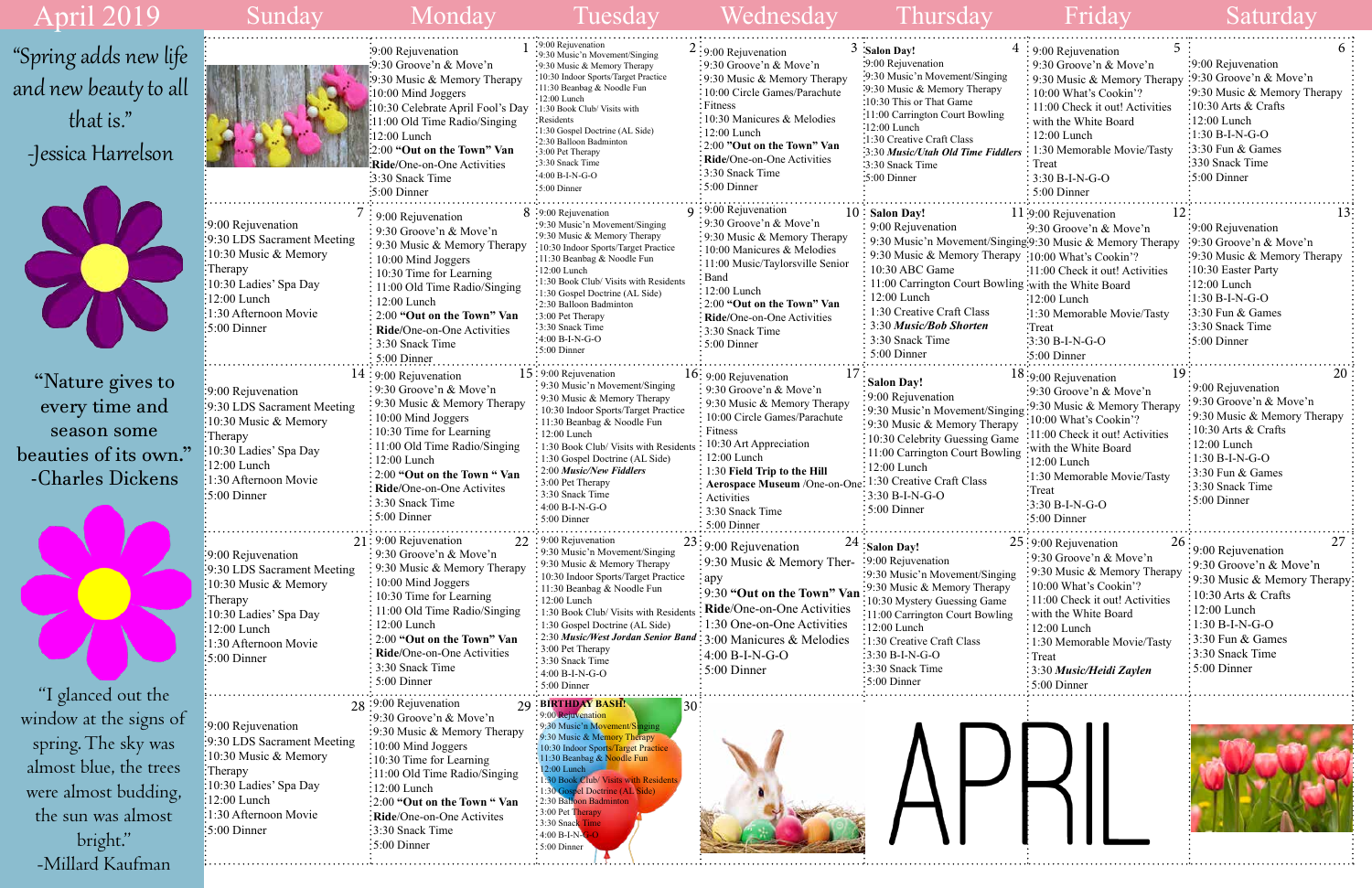|      | 5<br>$4:9:00$ Rejuvenation       | 6                            |
|------|----------------------------------|------------------------------|
|      | 9:30 Groove'n & Move'n           | 9:00 Rejuvenation            |
|      | 9:30 Music & Memory Therapy      | 9:30 Groove'n & Move'n       |
|      | 10:00 What's Cookin'?            | 9:30 Music & Memory Therapy  |
|      | 11:00 Check it out! Activities   | 10:30 Arts & Crafts          |
|      | with the White Board             | $12:00$ Lunch                |
|      | $12:00$ Lunch                    | $1:30 B-I-N-G-O$             |
| lers | 1:30 Memorable Movie/Tasty       | 3:30 Fun & Games             |
|      | Treat                            | 330 Snack Time               |
|      | 3:30 B-I-N-G-O                   | 5:00 Dinner                  |
|      | 5:00 Dinner                      |                              |
|      |                                  |                              |
|      | 12<br>11:9:00 Rejuvenation       | 13                           |
|      | :9:30 Groove'n & Move'n          | 9:00 Rejuvenation            |
|      | ging:9:30 Music & Memory Therapy | 9:30 Groove'n & Move'n       |
|      | py: 10:00 What's Cookin'?        | 9:30 Music & Memory Therapy  |
|      | :11:00 Check it out! Activities  | 10:30 Easter Party           |
|      | ing with the White Board         | 12:00 Lunch                  |
|      | $:12:00$ Lunch                   | $:1:30 B-I-N-G-O$            |
|      | :1:30 Memorable Movie/Tasty      | 3:30 Fun & Games             |
|      | :Treat                           | 3:30 Snack Time              |
|      | :3:30 B-I-N-G-O                  | 5:00 Dinner                  |
|      | $:5:00$ Dinner                   |                              |
|      | 19<br>18:9:00 Rejuvenation       | 20                           |
|      | :9:30 Groove'n & Move'n          | 9:00 Rejuvenation            |
|      | :9:30 Music & Memory Therapy     | 9:30 Groove'n & Move'n       |
| ing  | 10:00 What's Cookin'?            | 9:30 Music & Memory Therapy  |
| pу   | 11:00 Check it out! Activities   | $10:30$ Arts & Crafts        |
| ne   | with the White Board             | $12:00$ Lunch                |
| ing  | 12:00 Lunch                      | $1:30 B-I-N-G-O$             |
|      | 1:30 Memorable Movie/Tasty       | 3:30 Fun & Games             |
|      | Treat                            | 3:30 Snack Time              |
|      | 3:30 B-I-N-G-O                   | 5:00 Dinner                  |
|      | 5:00 Dinner                      |                              |
|      |                                  |                              |
|      | 26<br>25:9:00 Rejuvenation       | 27<br>9:00 Rejuvenation      |
|      | 9:30 Groove'n & Move'n           | 9:30 Groove'n & Move'n       |
| ıg   | 9:30 Music & Memory Therapy      | 9:30 Music & Memory Therapy: |
|      | 10:00 What's Cookin'?            | 10:30 Arts & Crafts          |
|      | 11:00 Check it out! Activities   |                              |
| g    | with the White Board             | 12:00 Lunch                  |
|      | 12:00 Lunch                      | 1:30 B-I-N-G-O               |
|      | 1:30 Memorable Movie/Tasty       | 3:30 Fun & Games             |
|      | Treat                            | 3:30 Snack Time              |
|      | 3:30 Music/Heidi Zaylen          | 5:00 Dinner                  |
|      | 5:00 Dinner                      |                              |
|      |                                  |                              |





. . . . . . .

| April 2019                                                                                                                                            | Sunday                                                                                                                                                                                          | Monday                                                                                                                                                                                                                                                                                                                                                         | Tuesday                                                                                                                                                                                                                                                                                                                                                                                                             | Wednesday                                                                                                                                                                                                                                                                                                                  | Thursday                                                                                                                                                                                                                                                                                                                                                       | Friday                                                                                                                                                                                                                                                                                                    | Saturday                                                                                                                                                                                                                                        |
|-------------------------------------------------------------------------------------------------------------------------------------------------------|-------------------------------------------------------------------------------------------------------------------------------------------------------------------------------------------------|----------------------------------------------------------------------------------------------------------------------------------------------------------------------------------------------------------------------------------------------------------------------------------------------------------------------------------------------------------------|---------------------------------------------------------------------------------------------------------------------------------------------------------------------------------------------------------------------------------------------------------------------------------------------------------------------------------------------------------------------------------------------------------------------|----------------------------------------------------------------------------------------------------------------------------------------------------------------------------------------------------------------------------------------------------------------------------------------------------------------------------|----------------------------------------------------------------------------------------------------------------------------------------------------------------------------------------------------------------------------------------------------------------------------------------------------------------------------------------------------------------|-----------------------------------------------------------------------------------------------------------------------------------------------------------------------------------------------------------------------------------------------------------------------------------------------------------|-------------------------------------------------------------------------------------------------------------------------------------------------------------------------------------------------------------------------------------------------|
| "Spring adds new life<br>and new beauty to all<br>that is."<br>-Jessica Harrelson                                                                     |                                                                                                                                                                                                 | :9:00 Rejuvenation<br>:9:30 Groove'n & Move'n<br>:9:30 Music & Memory Therapy<br>:10:00 Mind Joggers<br>:10:30 Celebrate April Fool's Day :1:30 Book Club/ Visits with<br>11:00 Old Time Radio/Singing<br>$\frac{1}{2}12:00$ Lunch<br>2:00 "Out on the Town" Van<br>Ride/One-on-One Activities<br>3:30 Snack Time<br>$\cdot 5:00$ Dinner                       | :9:00 Rejuvenation<br>:9:30 Music'n Movement/Singing<br>.9:30 Music & Memory Therapy<br>:10:30 Indoor Sports/Target Practice<br>:11:30 Beanbag & Noodle Fun<br>$:12:00$ Lunch<br>· Residents<br>:1:30 Gospel Doctrine (AL Side)<br>:2:30 Balloon Badminton<br>$:3:00$ Pet Therapy<br>3:30 Snack Time<br>$:4:00 B-I-N-G-O$<br>$\cdot$ 5:00 Dinner                                                                    | $2:9:00$ Rejuvenation<br>:9:30 Groove'n & Move'n<br>:9:30 Music & Memory Therapy<br>: 10:00 Circle Games/Parachute<br>: Fitness<br>: 10:30 Manicures & Melodies<br>$:12:00$ Lunch<br>: 2:00 "Out on the Town" Van<br>: Ride/One-on-One Activities<br>$\frac{1}{2}$ 3:30 Snack Time<br>$:5:00$ Dinner                       | $3$ Salon Day!<br>:9:00 Rejuvenation<br>:9:30 Music'n Movement/Singing<br>:9:30 Music & Memory Therapy<br>:10:30 This or That Game<br>:11:00 Carrington Court Bowling<br>:12:00 Lunch<br>1:30 Creative Craft Class<br>:3:30 Music/Utah Old Time Fiddler.<br>$\cdot$ 3:30 Snack Time<br>$\cdot$ 5:00 Dinner                                                     | $4:9:00$ Rejuvenation<br>: 9:30 Groove'n & Move'n<br>: 9:30 Music & Memory Therapy<br>: 10:00 What's Cookin'?<br>: 11:00 Check it out! Activities<br>: with the White Board<br>: 12:00 Lunch<br>1:30 Memorable Movie/Tasty<br>$\frac{1}{2}$ Treat<br>$: 3:30 B-I-N-G-O$<br>$\div$ 5:00 Dinner             | :9:00 Rejuvenation<br>:9:30 Groove'n $& \text{Move'}n$<br>:9:30 Music & Memory Therapy<br>$\frac{10:30 \text{ Arts}}{8 \text{ Crafts}}$<br>$\frac{1}{2}$ :00 Lunch<br>$-1:30 B-I-N-G-O$<br>:3:30 Fun & Games<br>:330 Snack Time<br>:5:00 Dinner |
|                                                                                                                                                       | :9:00 Rejuvenation<br>:9:30 LDS Sacrament Meeting<br>:10:30 Music & Memory<br>:Therapy<br>10:30 Ladies' Spa Day<br>$:12:00$ Lunch<br>1:30 Afternoon Movie<br>5:00 Dinner                        | : 9:00 Rejuvenation<br>: 9:30 Groove'n & Move'n<br>: 9:30 Music & Memory Therapy<br>$\therefore$ 10:00 Mind Joggers<br>$\frac{1}{2}$ 10:30 Time for Learning<br>: 11:00 Old Time Radio/Singing<br>$\frac{1}{2}$ 12:00 Lunch<br>: 2:00 "Out on the Town" Van<br>Ride/One-on-One Activities<br>: 3:30 Snack Time<br>$: 5:00$ Dinner                              | 8 .9:00 Rejuvenation<br>:9:30 Music'n Movement/Singing<br>:9:30 Music & Memory Therapy<br>10:30 Indoor Sports/Target Practice<br>:11:30 Beanbag & Noodle Fun<br>$:12:00$ Lunch<br>:1:30 Book Club/ Visits with Resident<br>:1:30 Gospel Doctrine (AL Side)<br>:2:30 Balloon Badminton<br>3:00 Pet Therapy<br>:3:30 Snack Time<br>$:4:00 B-I-N-G-O$<br>$\cdot$ 5:00 Dinner                                           | $9:9:00$ Rejuvenation<br>: 9:30 Groove'n & Move'n<br>: 9:30 Music & Memory Therapy<br>: 10:00 Manicures & Melodies<br>: 11:00 Music/Taylorsville Senior<br>: Band<br>$: 12:00$ Lunch<br>$\frac{1}{2}$ 2:00 "Out on the Town" Van<br>: Ride/One-on-One Activities<br>: 3:30 Snack Time<br>$: 5:00$ Dinner                   | $10$ Salon Day!<br>9:00 Rejuvenation<br>9:30 Music'n Movement/Singing:9:30 Music & Memory Therapy<br>9:30 Music & Memory Therapy : 10:00 What's Cookin'?<br>10:30 ABC Game<br>11:00 Carrington Court Bowling with the White Board<br>12:00 Lunch<br>1:30 Creative Craft Class<br>3:30 Music/Bob Shorten<br>$\frac{1}{2}$ 3:30 Snack Time<br>$\div$ 5:00 Dinner | 11:9:00 Rejuvenation<br>:9:30 Groove'n $& \text{Move'}n$<br>11:00 Check it out! Activities<br>:12:00 Lunch<br>:1:30 Memorable Movie/Tasty<br>:Treat<br>$:3:30 B-I-N-G-O$<br>$\cdot 5:00$ Dinner                                                                                                           | :9:00 Rejuvenation<br>$\frac{1}{2}$ 9:30 Groove'n & Move'n<br>:9:30 Music & Memory Therapy<br>:10:30 Easter Party<br>:12:00 Lunch<br>$:1:30 B-I-N-G-O$<br>:3:30 Fun $&$ Games<br>:3:30 Snack Time<br>$\frac{1}{2}$ 5:00 Dinner                  |
| "Nature gives to<br>every time and<br>season some<br>beauties of its own."<br>-Charles Dickens                                                        | 9:00 Rejuvenation<br>:9:30 LDS Sacrament Meeting<br>10:30 Music & Memory<br>:Therapy<br>10:30 Ladies' Spa Day<br>$\frac{1}{2}12:00$ Lunch<br>1:30 Afternoon Movie<br>$\frac{1}{2}$ :5:00 Dinner | $14:9:00$ Rejuvenation<br>$\frac{1}{2}$ 9:30 Groove'n & Move'n<br>: 9:30 Music & Memory Therapy<br>$\frac{10:00 \text{ Mind Joggers}}{2}$<br>: 10:30 Time for Learning<br>: 11:00 Old Time Radio/Singing<br>: 12:00 Lunch<br>: 2:00 "Out on the Town " Van<br>: Ride/One-on-One Activites<br>$\frac{1}{2}$ 3:30 Snack Time<br>$\frac{1}{2}$ 5:00 Dinner        | $15:9:00$ Rejuvenation<br>: 9:30 Music'n Movement/Singing<br>: 9:30 Music & Memory Therapy<br>10:30 Indoor Sports/Target Practice<br>: 11:30 Beanbag & Noodle Fun<br>: 12:00 Lunch<br>: 1:30 Book Club/ Visits with Residents<br>: 1:30 Gospel Doctrine (AL Side)<br>: 2:00 Music/New Fiddlers<br>: 3:00 Pet Therapy<br>: 3:30 Snack Time<br>: 4:00 B-I-N-G-O<br>$: 5:00$ Dinner                                    | $16: 9:00$ Rejuvenation<br>: 9:30 Groove'n & Move'n<br>: 9:30 Music & Memory Therapy<br>$\frac{1}{2}$ 10:00 Circle Games/Parachute<br>$\cdot$ Fitness<br>$10:30$ Art Appreciation<br>: 12:00 Lunch<br>$: 1:30$ Field Trip to the Hill<br>: Aerospace Museum /One-on-One<br>: Activities<br>: 3:30 Snack Time<br>5:00 Dinne | : Salon Day!<br>: 9:00 Rejuvenation<br>: 9:30 Music'n Movement/Singin<br>: 9:30 Music & Memory Therapy<br>: 10:30 Celebrity Guessing Game<br>$\frac{1}{2}$ 11:00 Carrington Court Bowling<br>12:00 Lunch<br>1:30 Creative Craft Class<br>$:3:30 B-I-N-G-O$<br>$:5:00$ Dinner                                                                                   | 19.<br>$18:9:00$ Rejuvenation<br>:9:30 Groove'n & Move'n<br>:9:30 Music & Memory Therapy<br>10:00 What's Cookin'?<br>:11:00 Check it out! Activities<br>with the White Board<br>$:12:00$ Lunch<br>:1:30 Memorable Movie/Tasty<br>$\cdot$ Treat<br>$3:30 B-I-N-G-O$<br>:5:00 Dinner                        | 20<br>:9:00 Rejuvenation<br>:9:30 Groove'n & Move'n<br>:9:30 Music & Memory Therapy<br>: 10:30 Arts & Crafts<br>$: 12:00$ Lunch<br>$\frac{1}{2}$ 1:30 B-I-N-G-O<br>$\frac{1}{2}$ 3:30 Fun & Games<br>:3:30 Snack Time<br>$\div 5:00$ Dinner     |
| "I glanced out the                                                                                                                                    | :9:00 Rejuvenation<br>:9:30 LDS Sacrament Meeting<br>:10:30 Music & Memory<br>:Therapy<br>:10:30 Ladies' Spa Day<br>12:00 Lunch<br>1:30 Afternoon Movie<br>$:5:00$ Dinner                       | $21:9:00$ Rejuvenation<br>: 9:30 Groove'n & Move'n<br>: 9:30 Music & Memory Therapy<br>: 10:00 Mind Joggers<br>$\therefore$ 10:30 Time for Learning<br>: 11:00 Old Time Radio/Singing<br>$\frac{1}{2}$ 12:00 Lunch<br>$\frac{1}{2}$ 2:00 "Out on the Town" Van<br>$\frac{1}{2}$ Ride/One-on-One Activities<br>$\frac{1}{2}$ 3:30 Snack Time<br>$: 5:00$ Dinner | $22 \cdot 9:00$ Rejuvenation<br>: 9:30 Music'n Movement/Singing<br>: 9:30 Music & Memory Therapy<br>: 10:30 Indoor Sports/Target Practice<br>$\cdot$ 11:30 Beanbag & Noodle Fun<br>: 12:00 Lunch<br>: 1:30 Book Club/ Visits with Residents<br>: 1:30 Gospel Doctrine (AL Side)<br>: 2:30 Music/West Jordan Senior Band<br>: 3:00 Pet Therapy<br>: 3:30 Snack Time<br>$4:00 B-I-N-G-O$<br>$\frac{1}{2}$ 5:00 Dinner | $23:9:00$ Rejuvenation<br>:9:30 Music & Memory Ther-<br>: apy<br>:9:30 "Out on the Town" Van<br>Ride/One-on-One Activities<br>: 1:30 One-on-One Activities<br>3:00 Manicures & Melodies<br>$4:00 B-I-N-G-O$<br>$: 5:00$ Dinner                                                                                             | $24$ : Salon Day!<br>:9:00 Rejuvenation<br>:9:30 Music'n Movement/Singing<br>:9:30 Music & Memory Therapy<br>:10:30 Mystery Guessing Game<br>:11:00 Carrington Court Bowling<br>$\frac{12:00 \text{ Lunch}}{2}$<br>:1:30 Creative Craft Class<br>$:3:30 B-I-N-G-O$<br>:3:30 Snack Time<br>$\div 5:00$ Dinner                                                   | 26 :<br>$25:9:00$ Rejuvenation<br>:9:30 Groove'n & Move'n<br>: 9:30 Music & Memory Therapy<br>: 10:00 What's Cookin'?<br>$: 11:00$ Check it out! Activities<br>with the White Board<br>$\frac{1}{2}12:00$ Lunch<br>: 1:30 Memorable Movie/Tasty<br>$:$ Treat<br>: 3:30 Music/Heidi Zaylen<br>:5:00 Dinner | :9:00 Rejuvenation<br>$\frac{1}{2}$ 9:30 Groove'n & Move'n<br>: 9:30 Music & Memory Therapy<br>10:30 Arts & Crafts<br>$: 12:00$ Lunch<br>$:1:30 B-I-N-G-O$<br>$3:30$ Fun & Games<br>$\frac{1}{2}$ 3:30 Snack Time<br>$:5:00$ Dinner             |
| window at the signs of<br>spring. The sky was<br>almost blue, the trees<br>were almost budding,<br>the sun was almost<br>bright."<br>-Millard Kaufman | :9:00 Rejuvenation<br>:9:30 LDS Sacrament Meeting<br>10:30 Music & Memory<br>:Therapy<br>10:30 Ladies' Spa Day<br>12:00 Lunch<br>1:30 Afternoon Movie<br>$\frac{1}{2}$ 5:00 Dinner              | 28:9:00 Rejuvenation<br>:9:30 Groove'n & Move'n<br>:9:30 Music & Memory Therapy<br>:10:00 Mind Joggers<br>$\frac{1}{2}10:30$ Time for Learning<br>:11:00 Old Time Radio/Singing<br>:12:00 Lunch<br>:2:00 "Out on the Town " Van<br>:Ride/One-on-One Activites<br>:3:30 Snack Time<br>$:5:00$ Dinner                                                            | 29 : BIRTHDAY BASH!<br>.9:00 Rejuvenation<br>: 9:30 Music'n Movement/Singing<br>: 9:30 Music & Memory Therapy<br>: 10:30 Indoor Sports/Target Practice<br>: 11:30 Beanbag & Noodle Fun<br>12:00 Lunch<br>1:30 Book Club/ Visits with Residents<br>: 1:30 Gospel Doctrine (AL Side)<br>: 2:30 Balloon Badminton<br>$\therefore$ 3:00 Pet Therapy<br>3:30 Snack Time<br>$:4:00 B-I-N-G-O$<br>5:00 Dinner              |                                                                                                                                                                                                                                                                                                                            |                                                                                                                                                                                                                                                                                                                                                                |                                                                                                                                                                                                                                                                                                           |                                                                                                                                                                                                                                                 |